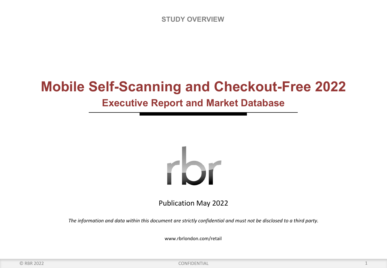# **Mobile Self-Scanning and Checkout-Free 2022**

## **Executive Report and Market Database**



Publication May 2022

*The information and data within this document are strictly confidential and must not be disclosed to a third party.*

www.rbrlondon.com/retail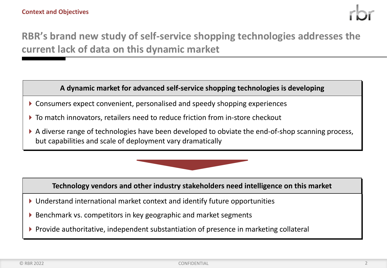## **RBR's brand new study of self-service shopping technologies addresses the current lack of data on this dynamic market**

### **A dynamic market for advanced self-service shopping technologies is developing**

- Consumers expect convenient, personalised and speedy shopping experiences
- To match innovators, retailers need to reduce friction from in-store checkout
- A diverse range of technologies have been developed to obviate the end-of-shop scanning process, but capabilities and scale of deployment vary dramatically



**Technology vendors and other industry stakeholders need intelligence on this market**

- Understand international market context and identify future opportunities
- ▶ Benchmark vs. competitors in key geographic and market segments
- Provide authoritative, independent substantiation of presence in marketing collateral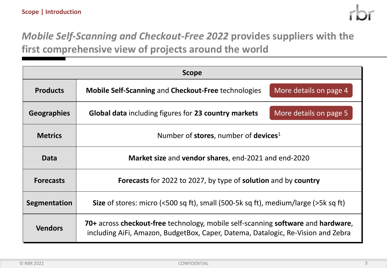## *Mobile Self-Scanning and Checkout-Free 2022* **provides suppliers with the first comprehensive view of projects around the world**

| <b>Scope</b>       |                                                                                                                                                                      |  |  |  |
|--------------------|----------------------------------------------------------------------------------------------------------------------------------------------------------------------|--|--|--|
| <b>Products</b>    | More details on page 4<br><b>Mobile Self-Scanning and Checkout-Free technologies</b>                                                                                 |  |  |  |
| <b>Geographies</b> | More details on page 5<br><b>Global data including figures for 23 country markets</b>                                                                                |  |  |  |
| <b>Metrics</b>     | Number of stores, number of devices <sup>1</sup>                                                                                                                     |  |  |  |
| Data               | Market size and vendor shares, end-2021 and end-2020                                                                                                                 |  |  |  |
| <b>Forecasts</b>   | Forecasts for 2022 to 2027, by type of solution and by country                                                                                                       |  |  |  |
| Segmentation       | <b>Size</b> of stores: micro (<500 sq ft), small (500-5k sq ft), medium/large (>5k sq ft)                                                                            |  |  |  |
| <b>Vendors</b>     | 70+ across checkout-free technology, mobile self-scanning software and hardware,<br>including AiFi, Amazon, BudgetBox, Caper, Datema, Datalogic, Re-Vision and Zebra |  |  |  |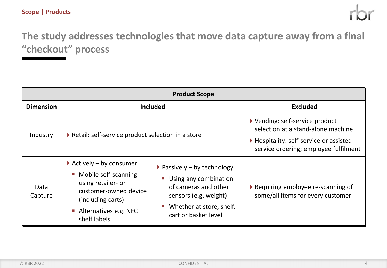## **The study addresses technologies that move data capture away from a final "checkout" process**

| <b>Product Scope</b> |                                                                                                                                                                                                                        |                                                                                                                                                                                   |                                                                                                                                                          |  |
|----------------------|------------------------------------------------------------------------------------------------------------------------------------------------------------------------------------------------------------------------|-----------------------------------------------------------------------------------------------------------------------------------------------------------------------------------|----------------------------------------------------------------------------------------------------------------------------------------------------------|--|
| <b>Dimension</b>     | <b>Included</b>                                                                                                                                                                                                        | <b>Excluded</b>                                                                                                                                                                   |                                                                                                                                                          |  |
| Industry             | Retail: self-service product selection in a store                                                                                                                                                                      |                                                                                                                                                                                   | ▶ Vending: self-service product<br>selection at a stand-alone machine<br>Hospitality: self-service or assisted-<br>service ordering; employee fulfilment |  |
| Data<br>Capture      | Actively – by consumer<br>Mobile self-scanning<br>$\overline{\phantom{a}}$<br>using retailer- or<br>customer-owned device<br>(including carts)<br>Alternatives e.g. NFC<br>$\mathcal{L}_{\mathcal{A}}$<br>shelf labels | $\triangleright$ Passively – by technology<br><b>Using any combination</b><br>of cameras and other<br>sensors (e.g. weight)<br>• Whether at store, shelf,<br>cart or basket level | Requiring employee re-scanning of<br>some/all items for every customer                                                                                   |  |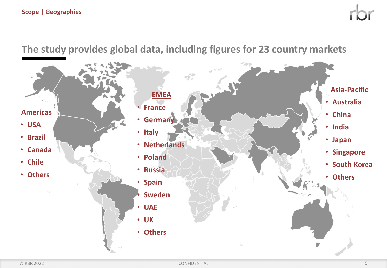## **The study provides global data, including figures for 23 country markets**

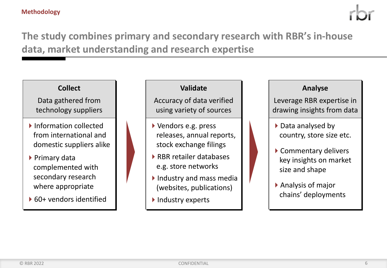#### **Methodology**

## **The study combines primary and secondary research with RBR's in-house data, market understanding and research expertise**

### **Collect**

Data gathered from technology suppliers

- ▶ Information collected from international and domestic suppliers alike
- ▶ Primary data complemented with secondary research where appropriate
- 60+ vendors identified

### **Validate**

Accuracy of data verified using variety of sources

- Vendors e.g. press releases, annual reports, stock exchange filings
- RBR retailer databases e.g. store networks
- $\blacktriangleright$  Industry and mass media (websites, publications)
- Industry experts

#### **Analyse**

Leverage RBR expertise in drawing insights from data

- ▶ Data analysed by country, store size etc.
- ▶ Commentary delivers key insights on market size and shape
- Analysis of major chains' deployments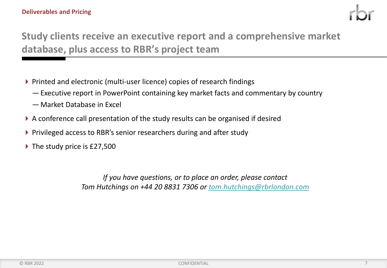

## **Study clients receive an executive report and a comprehensive market database, plus access to RBR's project team**

- ▶ Printed and electronic (multi-user licence) copies of research findings
	- Executive report in PowerPoint containing key market facts and commentary by country
	- Market Database in Excel
- A conference call presentation of the study results can be organised if desired
- ▶ Privileged access to RBR's senior researchers during and after study
- $\triangleright$  The study price is £27,500

*If you have questions, or to place an order, please contact Tom Hutchings on +44 20 8831 7306 or tom.hutchings@rbrlondon.com*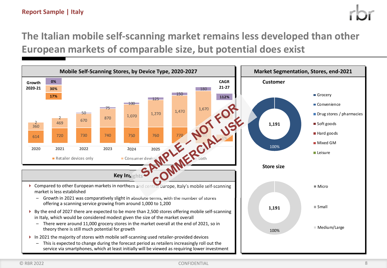## **The Italian mobile self-scanning market remains less developed than other European markets of comparable size, but potential does exist**

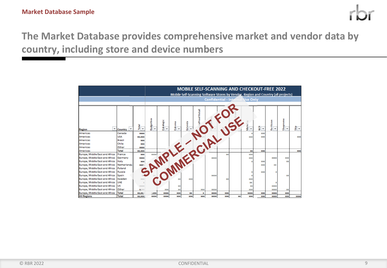

## **The Market Database provides comprehensive market and vendor data by country, including store and device numbers**